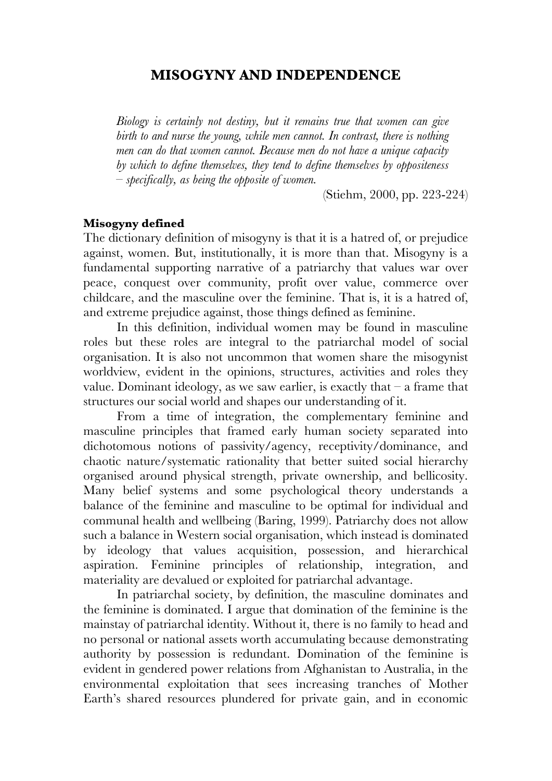# **MISOGYNY AND INDEPENDENCE**

*Biology is certainly not destiny, but it remains true that women can give birth to and nurse the young, while men cannot. In contrast, there is nothing men can do that women cannot. Because men do not have a unique capacity by which to define themselves, they tend to define themselves by oppositeness – specifically, as being the opposite of women.* 

(Stiehm, 2000, pp. 223-224)

#### **Misogyny defined**

The dictionary definition of misogyny is that it is a hatred of, or prejudice against, women. But, institutionally, it is more than that. Misogyny is a fundamental supporting narrative of a patriarchy that values war over peace, conquest over community, profit over value, commerce over childcare, and the masculine over the feminine. That is, it is a hatred of, and extreme prejudice against, those things defined as feminine.

In this definition, individual women may be found in masculine roles but these roles are integral to the patriarchal model of social organisation. It is also not uncommon that women share the misogynist worldview, evident in the opinions, structures, activities and roles they value. Dominant ideology, as we saw earlier, is exactly that  $-$  a frame that structures our social world and shapes our understanding of it.

From a time of integration, the complementary feminine and masculine principles that framed early human society separated into dichotomous notions of passivity/agency, receptivity/dominance, and chaotic nature/systematic rationality that better suited social hierarchy organised around physical strength, private ownership, and bellicosity. Many belief systems and some psychological theory understands a balance of the feminine and masculine to be optimal for individual and communal health and wellbeing (Baring, 1999). Patriarchy does not allow such a balance in Western social organisation, which instead is dominated by ideology that values acquisition, possession, and hierarchical aspiration. Feminine principles of relationship, integration, and materiality are devalued or exploited for patriarchal advantage.

In patriarchal society, by definition, the masculine dominates and the feminine is dominated. I argue that domination of the feminine is the mainstay of patriarchal identity. Without it, there is no family to head and no personal or national assets worth accumulating because demonstrating authority by possession is redundant. Domination of the feminine is evident in gendered power relations from Afghanistan to Australia, in the environmental exploitation that sees increasing tranches of Mother Earth's shared resources plundered for private gain, and in economic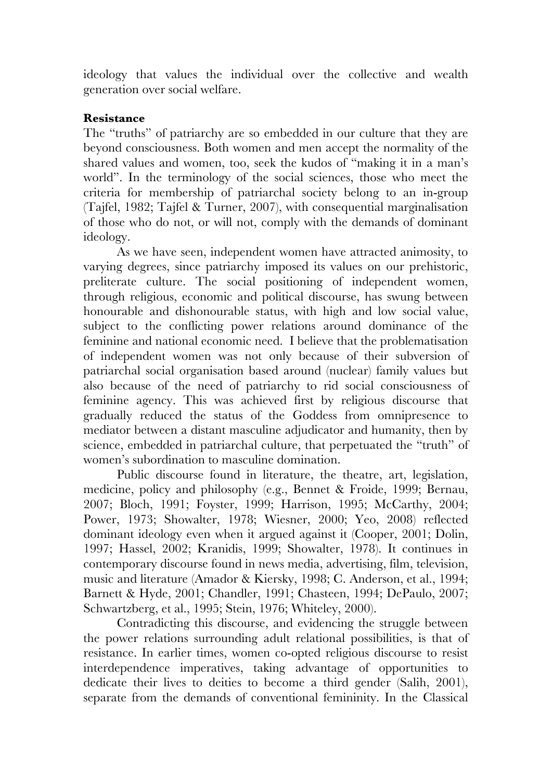ideology that values the individual over the collective and wealth generation over social welfare.

### **Resistance**

The "truths" of patriarchy are so embedded in our culture that they are beyond consciousness. Both women and men accept the normality of the shared values and women, too, seek the kudos of "making it in a man's world". In the terminology of the social sciences, those who meet the criteria for membership of patriarchal society belong to an in-group (Tajfel, 1982; Tajfel & Turner, 2007), with consequential marginalisation of those who do not, or will not, comply with the demands of dominant ideology.

As we have seen, independent women have attracted animosity, to varying degrees, since patriarchy imposed its values on our prehistoric, preliterate culture. The social positioning of independent women, through religious, economic and political discourse, has swung between honourable and dishonourable status, with high and low social value, subject to the conflicting power relations around dominance of the feminine and national economic need. I believe that the problematisation of independent women was not only because of their subversion of patriarchal social organisation based around (nuclear) family values but also because of the need of patriarchy to rid social consciousness of feminine agency. This was achieved first by religious discourse that gradually reduced the status of the Goddess from omnipresence to mediator between a distant masculine adjudicator and humanity, then by science, embedded in patriarchal culture, that perpetuated the "truth" of women's subordination to masculine domination.

Public discourse found in literature, the theatre, art, legislation, medicine, policy and philosophy (e.g., Bennet & Froide, 1999; Bernau, 2007; Bloch, 1991; Foyster, 1999; Harrison, 1995; McCarthy, 2004; Power, 1973; Showalter, 1978; Wiesner, 2000; Yeo, 2008) reflected dominant ideology even when it argued against it (Cooper, 2001; Dolin, 1997; Hassel, 2002; Kranidis, 1999; Showalter, 1978). It continues in contemporary discourse found in news media, advertising, film, television, music and literature (Amador & Kiersky, 1998; C. Anderson, et al., 1994; Barnett & Hyde, 2001; Chandler, 1991; Chasteen, 1994; DePaulo, 2007; Schwartzberg, et al., 1995; Stein, 1976; Whiteley, 2000).

Contradicting this discourse, and evidencing the struggle between the power relations surrounding adult relational possibilities, is that of resistance. In earlier times, women co-opted religious discourse to resist interdependence imperatives, taking advantage of opportunities to dedicate their lives to deities to become a third gender (Salih, 2001), separate from the demands of conventional femininity. In the Classical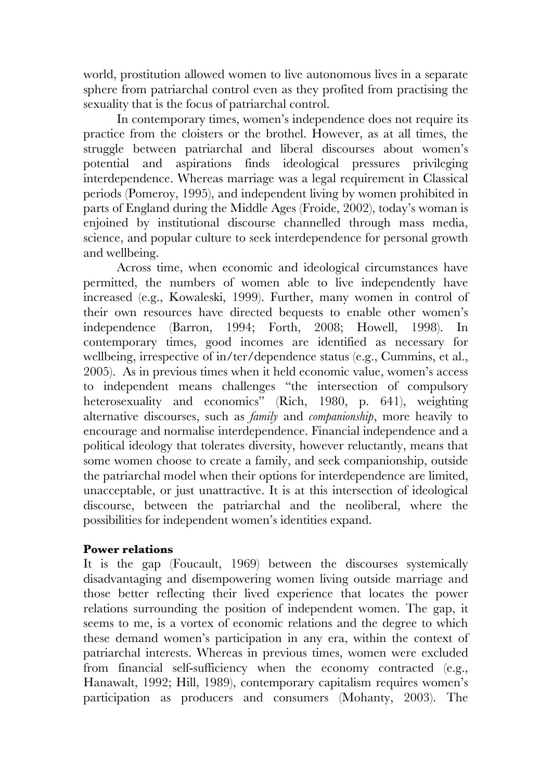world, prostitution allowed women to live autonomous lives in a separate sphere from patriarchal control even as they profited from practising the sexuality that is the focus of patriarchal control.

In contemporary times, women's independence does not require its practice from the cloisters or the brothel. However, as at all times, the struggle between patriarchal and liberal discourses about women's potential and aspirations finds ideological pressures privileging interdependence. Whereas marriage was a legal requirement in Classical periods (Pomeroy, 1995), and independent living by women prohibited in parts of England during the Middle Ages (Froide, 2002), today's woman is enjoined by institutional discourse channelled through mass media, science, and popular culture to seek interdependence for personal growth and wellbeing.

Across time, when economic and ideological circumstances have permitted, the numbers of women able to live independently have increased (e.g., Kowaleski, 1999). Further, many women in control of their own resources have directed bequests to enable other women's independence (Barron, 1994; Forth, 2008; Howell, 1998). In contemporary times, good incomes are identified as necessary for wellbeing, irrespective of in/ter/dependence status (e.g., Cummins, et al., 2005). As in previous times when it held economic value, women's access to independent means challenges "the intersection of compulsory heterosexuality and economics" (Rich, 1980, p. 641), weighting alternative discourses, such as *family* and *companionship*, more heavily to encourage and normalise interdependence. Financial independence and a political ideology that tolerates diversity, however reluctantly, means that some women choose to create a family, and seek companionship, outside the patriarchal model when their options for interdependence are limited, unacceptable, or just unattractive. It is at this intersection of ideological discourse, between the patriarchal and the neoliberal, where the possibilities for independent women's identities expand.

# **Power relations**

It is the gap (Foucault, 1969) between the discourses systemically disadvantaging and disempowering women living outside marriage and those better reflecting their lived experience that locates the power relations surrounding the position of independent women. The gap, it seems to me, is a vortex of economic relations and the degree to which these demand women's participation in any era, within the context of patriarchal interests. Whereas in previous times, women were excluded from financial self-sufficiency when the economy contracted (e.g., Hanawalt, 1992; Hill, 1989), contemporary capitalism requires women's participation as producers and consumers (Mohanty, 2003). The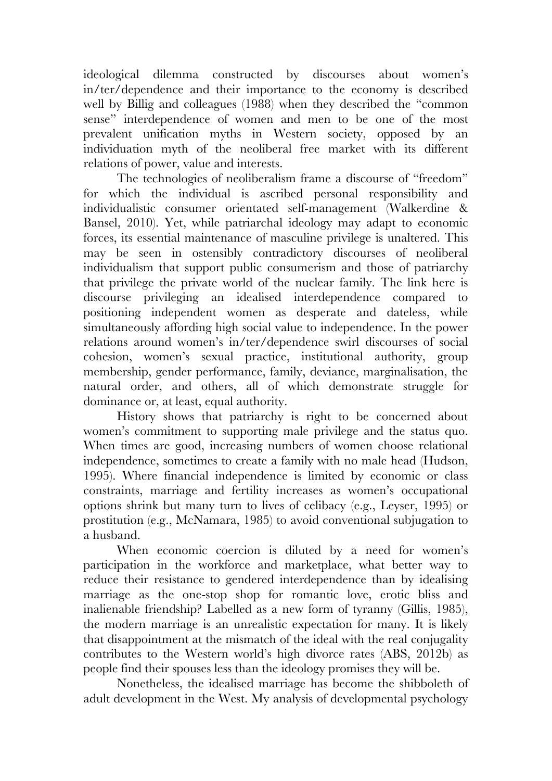ideological dilemma constructed by discourses about women's in/ter/dependence and their importance to the economy is described well by Billig and colleagues (1988) when they described the "common sense" interdependence of women and men to be one of the most prevalent unification myths in Western society, opposed by an individuation myth of the neoliberal free market with its different relations of power, value and interests.

The technologies of neoliberalism frame a discourse of "freedom" for which the individual is ascribed personal responsibility and individualistic consumer orientated self-management (Walkerdine & Bansel, 2010). Yet, while patriarchal ideology may adapt to economic forces, its essential maintenance of masculine privilege is unaltered. This may be seen in ostensibly contradictory discourses of neoliberal individualism that support public consumerism and those of patriarchy that privilege the private world of the nuclear family. The link here is discourse privileging an idealised interdependence compared to positioning independent women as desperate and dateless, while simultaneously affording high social value to independence. In the power relations around women's in/ter/dependence swirl discourses of social cohesion, women's sexual practice, institutional authority, group membership, gender performance, family, deviance, marginalisation, the natural order, and others, all of which demonstrate struggle for dominance or, at least, equal authority.

History shows that patriarchy is right to be concerned about women's commitment to supporting male privilege and the status quo. When times are good, increasing numbers of women choose relational independence, sometimes to create a family with no male head (Hudson, 1995). Where financial independence is limited by economic or class constraints, marriage and fertility increases as women's occupational options shrink but many turn to lives of celibacy (e.g., Leyser, 1995) or prostitution (e.g., McNamara, 1985) to avoid conventional subjugation to a husband.

When economic coercion is diluted by a need for women's participation in the workforce and marketplace, what better way to reduce their resistance to gendered interdependence than by idealising marriage as the one-stop shop for romantic love, erotic bliss and inalienable friendship? Labelled as a new form of tyranny (Gillis, 1985), the modern marriage is an unrealistic expectation for many. It is likely that disappointment at the mismatch of the ideal with the real conjugality contributes to the Western world's high divorce rates (ABS, 2012b) as people find their spouses less than the ideology promises they will be.

Nonetheless, the idealised marriage has become the shibboleth of adult development in the West. My analysis of developmental psychology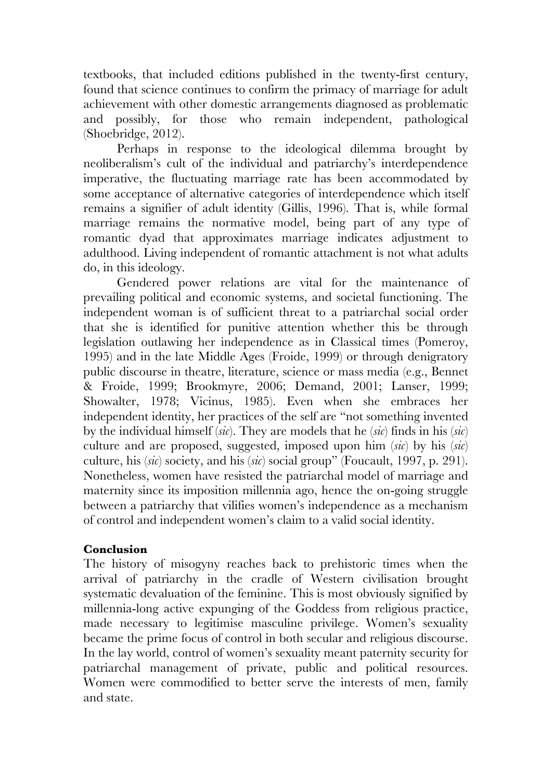textbooks, that included editions published in the twenty-first century, found that science continues to confirm the primacy of marriage for adult achievement with other domestic arrangements diagnosed as problematic and possibly, for those who remain independent, pathological (Shoebridge, 2012).

Perhaps in response to the ideological dilemma brought by neoliberalism's cult of the individual and patriarchy's interdependence imperative, the fluctuating marriage rate has been accommodated by some acceptance of alternative categories of interdependence which itself remains a signifier of adult identity (Gillis, 1996). That is, while formal marriage remains the normative model, being part of any type of romantic dyad that approximates marriage indicates adjustment to adulthood. Living independent of romantic attachment is not what adults do, in this ideology.

Gendered power relations are vital for the maintenance of prevailing political and economic systems, and societal functioning. The independent woman is of sufficient threat to a patriarchal social order that she is identified for punitive attention whether this be through legislation outlawing her independence as in Classical times (Pomeroy, 1995) and in the late Middle Ages (Froide, 1999) or through denigratory public discourse in theatre, literature, science or mass media (e.g., Bennet & Froide, 1999; Brookmyre, 2006; Demand, 2001; Lanser, 1999; Showalter, 1978; Vicinus, 1985). Even when she embraces her independent identity, her practices of the self are "not something invented by the individual himself (*sic*). They are models that he (*sic*) finds in his (*sic*) culture and are proposed, suggested, imposed upon him (*sic*) by his (*sic*) culture, his (*sic*) society, and his (*sic*) social group" (Foucault, 1997, p. 291). Nonetheless, women have resisted the patriarchal model of marriage and maternity since its imposition millennia ago, hence the on-going struggle between a patriarchy that vilifies women's independence as a mechanism of control and independent women's claim to a valid social identity.

# **Conclusion**

The history of misogyny reaches back to prehistoric times when the arrival of patriarchy in the cradle of Western civilisation brought systematic devaluation of the feminine. This is most obviously signified by millennia-long active expunging of the Goddess from religious practice, made necessary to legitimise masculine privilege. Women's sexuality became the prime focus of control in both secular and religious discourse. In the lay world, control of women's sexuality meant paternity security for patriarchal management of private, public and political resources. Women were commodified to better serve the interests of men, family and state.